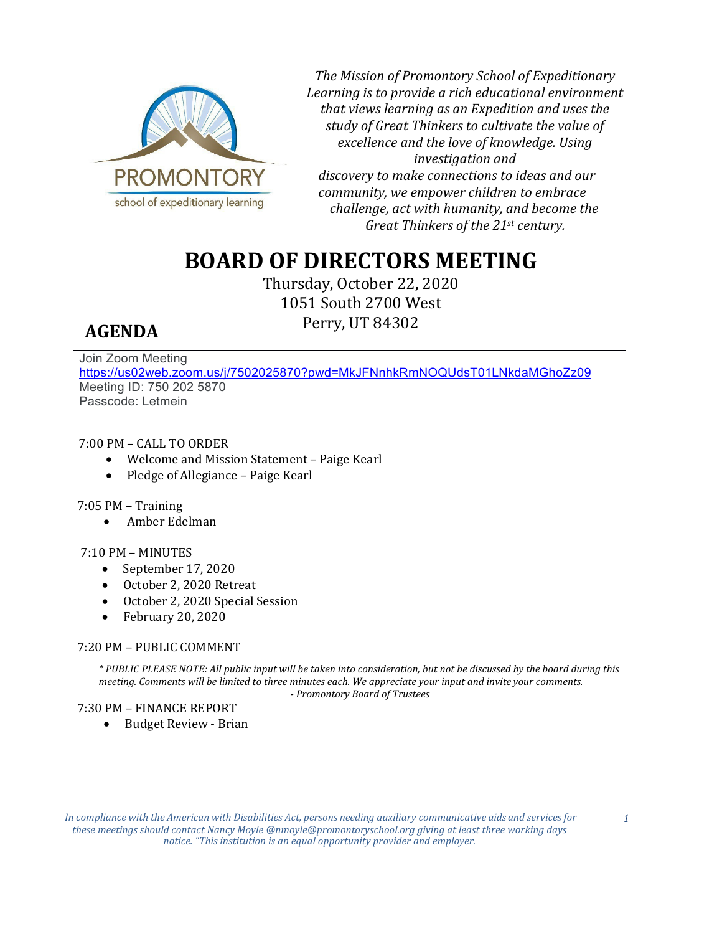

*The Mission of Promontory School of Expeditionary Learning is to provide a rich educational environment that views learning as an Expedition and uses the study of Great Thinkers to cultivate the value of excellence and the love of knowledge. Using investigation and discovery to make connections to ideas and our community, we empower children to embrace challenge, act with humanity, and become the Great Thinkers of the 21st century.* 

# **BOARD OF DIRECTORS MEETING**

Thursday, October 22, 2020 1051 South 2700 West Perry, UT 84302

## **AGENDA**

Join Zoom Meeting <https://us02web.zoom.us/j/7502025870?pwd=MkJFNnhkRmNOQUdsT01LNkdaMGhoZz09> Meeting ID: 750 202 5870 Passcode: Letmein

7:00 PM – CALL TO ORDER<br>Welcome and Miss

- Welcome and Mission Statement Paige Kearl
- Pledge of Allegiance Paige Kearl

### 7:05 PM – Training

• Amber Edelman

#### 7:10 PM – MINUTES

- September 17, 2020
- October 2, 2020 Retreat
- October 2, 2020 Special Session
- February 20, 2020

#### 7:20 PM – PUBLIC COMMENT

*\* PUBLIC PLEASE NOTE: All public input will be taken into consideration, but not be discussed by the board during this meeting. Comments will be limited to three minutes each. We appreciate your input and invite your comments. - Promontory Board of Trustees*

#### 7:30 PM – FINANCE REPORT

• Budget Review - Brian